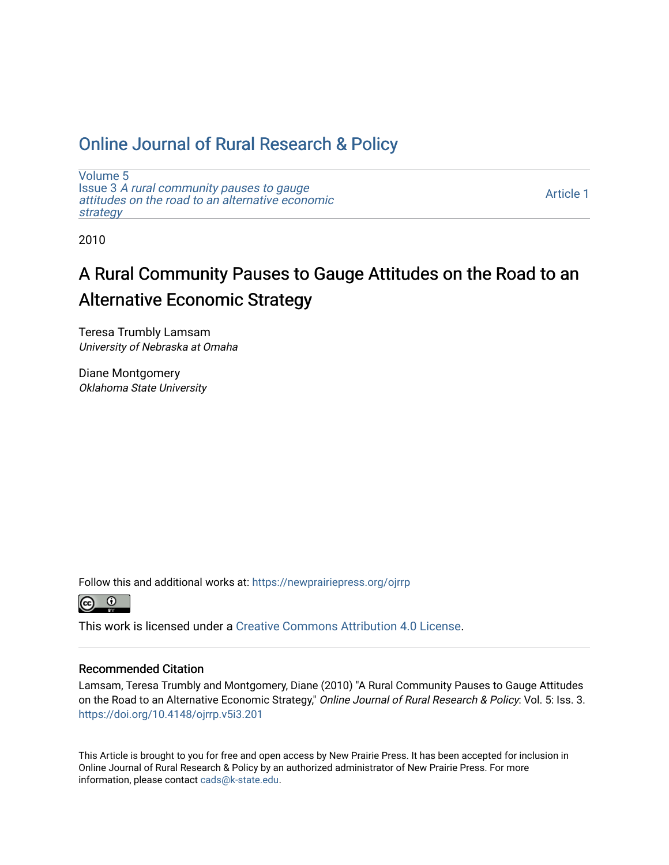## [Online Journal of Rural Research & Policy](https://newprairiepress.org/ojrrp)

[Volume 5](https://newprairiepress.org/ojrrp/vol5) Issue 3 [A rural community pauses to gauge](https://newprairiepress.org/ojrrp/vol5/iss3)  [attitudes on the road to an alternative economic](https://newprairiepress.org/ojrrp/vol5/iss3) [strategy](https://newprairiepress.org/ojrrp/vol5/iss3) 

[Article 1](https://newprairiepress.org/ojrrp/vol5/iss3/1) 

2010

# A Rural Community Pauses to Gauge Attitudes on the Road to an Alternative Economic Strategy

Teresa Trumbly Lamsam University of Nebraska at Omaha

Diane Montgomery Oklahoma State University

Follow this and additional works at: [https://newprairiepress.org/ojrrp](https://newprairiepress.org/ojrrp?utm_source=newprairiepress.org%2Fojrrp%2Fvol5%2Fiss3%2F1&utm_medium=PDF&utm_campaign=PDFCoverPages) 



This work is licensed under a [Creative Commons Attribution 4.0 License](https://creativecommons.org/licenses/by/4.0/).

#### Recommended Citation

Lamsam, Teresa Trumbly and Montgomery, Diane (2010) "A Rural Community Pauses to Gauge Attitudes on the Road to an Alternative Economic Strategy," Online Journal of Rural Research & Policy: Vol. 5: Iss. 3. <https://doi.org/10.4148/ojrrp.v5i3.201>

This Article is brought to you for free and open access by New Prairie Press. It has been accepted for inclusion in Online Journal of Rural Research & Policy by an authorized administrator of New Prairie Press. For more information, please contact [cads@k-state.edu](mailto:cads@k-state.edu).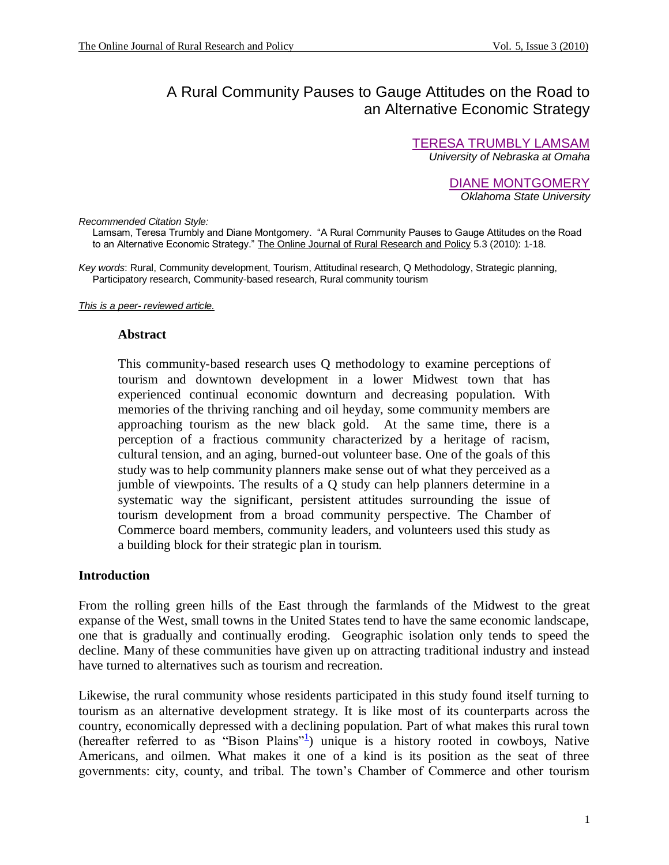## <span id="page-1-1"></span>A Rural Community Pauses to Gauge Attitudes on the Road to an Alternative Economic Strategy

[TERESA TRUMBLY LAMSAM](#page-18-0) *University of Nebraska at Omaha*

> [DIANE MONTGOMERY](#page-18-1) *Oklahoma State University*

*Recommended Citation Style:*

 Lamsam, Teresa Trumbly and Diane Montgomery. "A Rural Community Pauses to Gauge Attitudes on the Road to an Alternative Economic Strategy." The Online Journal of Rural Research and Policy 5.3 (2010): 1-18.

*Key words*: Rural, Community development, Tourism, Attitudinal research, Q Methodology, Strategic planning, Participatory research, Community-based research, Rural community tourism

*This is a peer- reviewed article.*

#### **Abstract**

This community-based research uses Q methodology to examine perceptions of tourism and downtown development in a lower Midwest town that has experienced continual economic downturn and decreasing population. With memories of the thriving ranching and oil heyday, some community members are approaching tourism as the new black gold. At the same time, there is a perception of a fractious community characterized by a heritage of racism, cultural tension, and an aging, burned-out volunteer base. One of the goals of this study was to help community planners make sense out of what they perceived as a jumble of viewpoints. The results of a Q study can help planners determine in a systematic way the significant, persistent attitudes surrounding the issue of tourism development from a broad community perspective. The Chamber of Commerce board members, community leaders, and volunteers used this study as a building block for their strategic plan in tourism.

#### **Introduction**

From the rolling green hills of the East through the farmlands of the Midwest to the great expanse of the West, small towns in the United States tend to have the same economic landscape, one that is gradually and continually eroding. Geographic isolation only tends to speed the decline. Many of these communities have given up on attracting traditional industry and instead have turned to alternatives such as tourism and recreation.

<span id="page-1-0"></span>Likewise, the rural community whose residents participated in this study found itself turning to tourism as an alternative development strategy. It is like most of its counterparts across the country, economically depressed with a declining population. Part of what makes this rural town (hereafter referred to as "Bison Plains"<sup>[1](#page-16-0)</sup>) unique is a history rooted in cowboys, Native Americans, and oilmen. What makes it one of a kind is its position as the seat of three governments: city, county, and tribal. The town's Chamber of Commerce and other tourism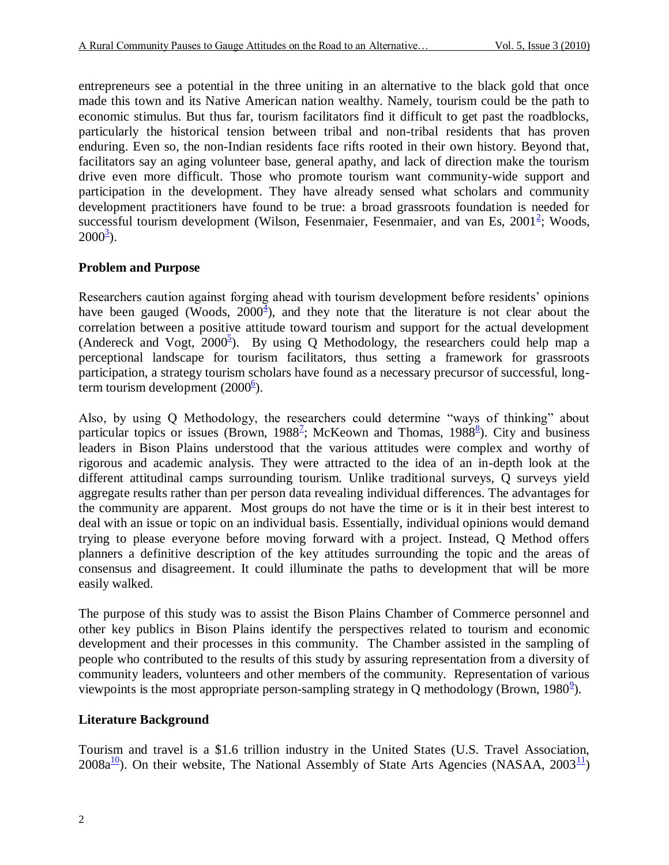entrepreneurs see a potential in the three uniting in an alternative to the black gold that once made this town and its Native American nation wealthy. Namely, tourism could be the path to economic stimulus. But thus far, tourism facilitators find it difficult to get past the roadblocks, particularly the historical tension between tribal and non-tribal residents that has proven enduring. Even so, the non-Indian residents face rifts rooted in their own history. Beyond that, facilitators say an aging volunteer base, general apathy, and lack of direction make the tourism drive even more difficult. Those who promote tourism want community-wide support and participation in the development. They have already sensed what scholars and community development practitioners have found to be true: a broad grassroots foundation is needed for successful tourism development (Wilson, Fesenmaier, Fesenmaier, and van Es,  $2001^2$ [;](#page-16-1) Woods,  $2000^{\frac{3}{2}}$  $2000^{\frac{3}{2}}$  $2000^{\frac{3}{2}}$ ).

## <span id="page-2-1"></span><span id="page-2-0"></span>**Problem and Purpose**

<span id="page-2-3"></span><span id="page-2-2"></span>Researchers caution against forging ahead with tourism development before residents' opinions have been gauged (Woods,  $2000^{\frac{3}{2}}$ ), and they note that the literature is not clear about the correlation between a positive attitude toward tourism and support for the actual development (Andereck and Vogt,  $2000^5$  $2000^5$  $2000^5$ ). By using Q Methodology, the researchers could help map a perceptional landscape for tourism facilitators, thus setting a framework for grassroots participation, a strategy tourism scholars have found as a necessary precursor of successful, longterm tourism development  $(2000<sup>6</sup>)$  $(2000<sup>6</sup>)$  $(2000<sup>6</sup>)$ .

<span id="page-2-6"></span><span id="page-2-5"></span><span id="page-2-4"></span>Also, by using Q Methodology, the researchers could determine "ways of thinking" about particular topics or issues (Brown, 19[8](#page-16-7)8<sup>2</sup>; McKeown and Thomas, 1988<sup>8</sup>). City and business leaders in Bison Plains understood that the various attitudes were complex and worthy of rigorous and academic analysis. They were attracted to the idea of an in-depth look at the different attitudinal camps surrounding tourism. Unlike traditional surveys, Q surveys yield aggregate results rather than per person data revealing individual differences. The advantages for the community are apparent. Most groups do not have the time or is it in their best interest to deal with an issue or topic on an individual basis. Essentially, individual opinions would demand trying to please everyone before moving forward with a project. Instead, Q Method offers planners a definitive description of the key attitudes surrounding the topic and the areas of consensus and disagreement. It could illuminate the paths to development that will be more easily walked.

The purpose of this study was to assist the Bison Plains Chamber of Commerce personnel and other key publics in Bison Plains identify the perspectives related to tourism and economic development and their processes in this community. The Chamber assisted in the sampling of people who contributed to the results of this study by assuring representation from a diversity of community leaders, volunteers and other members of the community. Representation of various viewpoints is the most appropriate person-sampling strategy in Q methodology (Brown,  $1980^2$ [\)](#page-16-8).

## <span id="page-2-7"></span>**Literature Background**

<span id="page-2-9"></span><span id="page-2-8"></span>Tourism and travel is a \$1.6 trillion industry in the United States (U.S. Travel Association,  $2008a^{10}$  $2008a^{10}$  $2008a^{10}$ ). On their website, The National Assembly of State Arts Agencies (NASAA,  $2003^{11}$  $2003^{11}$  $2003^{11}$ )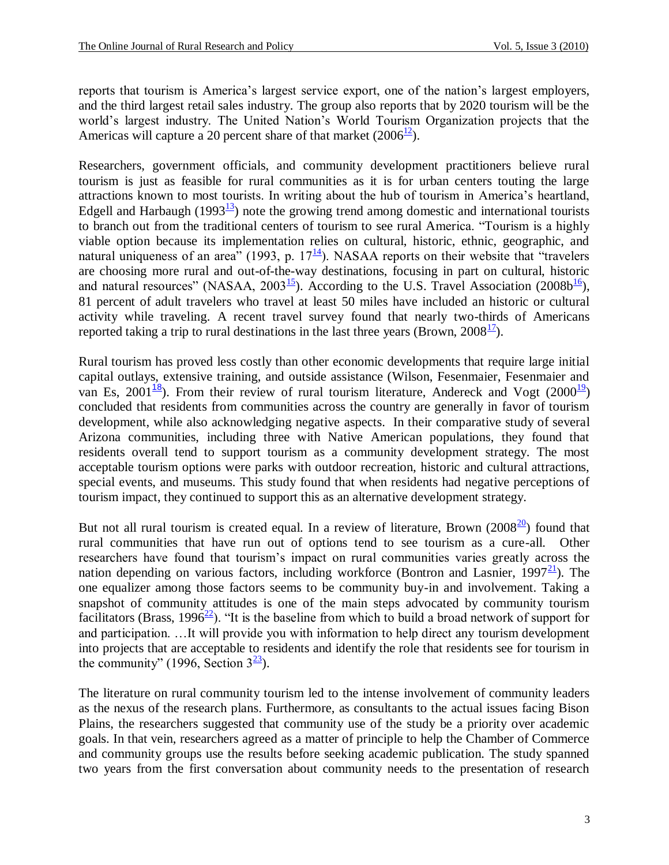reports that tourism is America's largest service export, one of the nation's largest employers, and the third largest retail sales industry. The group also reports that by 2020 tourism will be the world's largest industry. The United Nation's World Tourism Organization projects that the Americas will capture a 20 percent share of that market  $(2006^{12})$  $(2006^{12})$  $(2006^{12})$ .

<span id="page-3-2"></span><span id="page-3-1"></span><span id="page-3-0"></span>Researchers, government officials, and community development practitioners believe rural tourism is just as feasible for rural communities as it is for urban centers touting the large attractions known to most tourists. In writing about the hub of tourism in America's heartland, Edgell and Harbaugh (1993 $\frac{13}{2}$  $\frac{13}{2}$  $\frac{13}{2}$ ) note the growing trend among domestic and international tourists to branch out from the traditional centers of tourism to see rural America. "Tourism is a highly viable option because its implementation relies on cultural, historic, ethnic, geographic, and natural uniqueness of an area" (1993, p.  $17<sup>14</sup>$  $17<sup>14</sup>$  $17<sup>14</sup>$ ). NASAA reports on their website that "travelers" are choosing more rural and out-of-the-way destinations, focusing in part on cultural, historic and natural resources" (NASAA, 2003<sup>[15](#page-16-14)</sup>). According to the U.S. Travel Association (2008b<sup>[16](#page-16-15)</sup>), 81 percent of adult travelers who travel at least 50 miles have included an historic or cultural activity while traveling. A recent travel survey found that nearly two-thirds of Americans reported taking a trip to rural destinations in the last three years (Brown,  $2008^{\frac{17}{2}}$  $2008^{\frac{17}{2}}$  $2008^{\frac{17}{2}}$ ).

<span id="page-3-7"></span><span id="page-3-6"></span><span id="page-3-5"></span><span id="page-3-4"></span><span id="page-3-3"></span>Rural tourism has proved less costly than other economic developments that require large initial capital outlays, extensive training, and outside assistance (Wilson, Fesenmaier, Fesenmaier and van Es, 2001<sup>[18](#page-17-1)</sup>). From their review of rural tourism literature, Andereck and Vogt (2000<sup>[19](#page-17-2)</sup>) concluded that residents from communities across the country are generally in favor of tourism development, while also acknowledging negative aspects. In their comparative study of several Arizona communities, including three with Native American populations, they found that residents overall tend to support tourism as a community development strategy. The most acceptable tourism options were parks with outdoor recreation, historic and cultural attractions, special events, and museums. This study found that when residents had negative perceptions of tourism impact, they continued to support this as an alternative development strategy.

<span id="page-3-9"></span><span id="page-3-8"></span>But not all rural tourism is created equal. In a review of literature, Brown ([20](#page-17-3)08<sup>20</sup>) found that rural communities that have run out of options tend to see tourism as a cure-all. Other researchers have found that tourism's impact on rural communities varies greatly across the nation depending on various factors, including workforce (Bontron and Lasnier,  $1997<sup>21</sup>$  $1997<sup>21</sup>$  $1997<sup>21</sup>$ ). The one equalizer among those factors seems to be community buy-in and involvement. Taking a snapshot of community attitudes is one of the main steps advocated by community tourism facilitators (Brass, 1996<sup>[22](#page-17-5)</sup>). "It is the baseline from which to build a broad network of support for and participation. …It will provide you with information to help direct any tourism development into projects that are acceptable to residents and identify the role that residents see for tourism in the community" (1996, Section  $3^{\frac{23}{2}}$  $3^{\frac{23}{2}}$  $3^{\frac{23}{2}}$ ).

<span id="page-3-11"></span><span id="page-3-10"></span>The literature on rural community tourism led to the intense involvement of community leaders as the nexus of the research plans. Furthermore, as consultants to the actual issues facing Bison Plains, the researchers suggested that community use of the study be a priority over academic goals. In that vein, researchers agreed as a matter of principle to help the Chamber of Commerce and community groups use the results before seeking academic publication. The study spanned two years from the first conversation about community needs to the presentation of research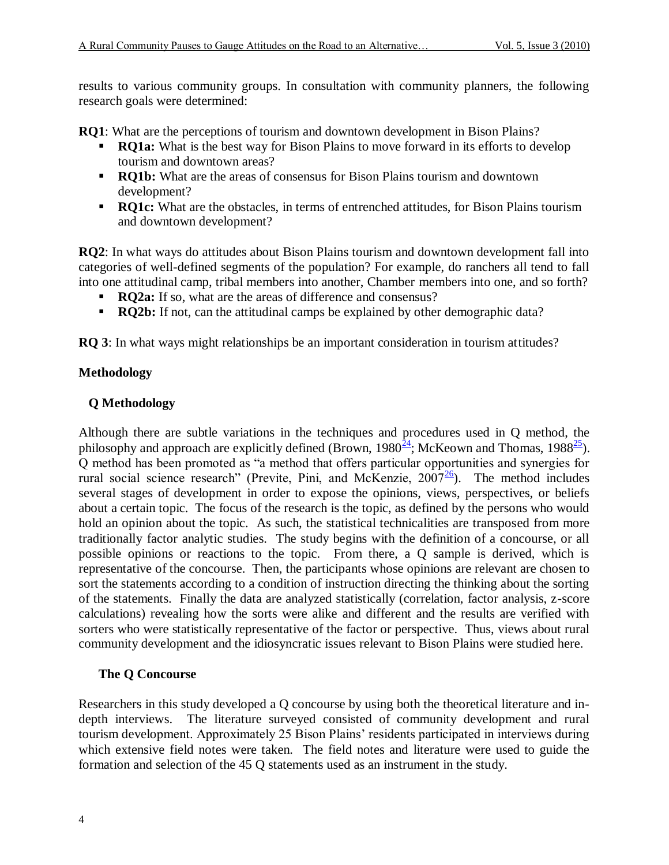results to various community groups. In consultation with community planners, the following research goals were determined:

**RQ1**: What are the perceptions of tourism and downtown development in Bison Plains?

- **RQ1a:** What is the best way for Bison Plains to move forward in its efforts to develop tourism and downtown areas?
- **RQ1b:** What are the areas of consensus for Bison Plains tourism and downtown development?
- **RQ1c:** What are the obstacles, in terms of entrenched attitudes, for Bison Plains tourism and downtown development?

**RQ2**: In what ways do attitudes about Bison Plains tourism and downtown development fall into categories of well-defined segments of the population? For example, do ranchers all tend to fall into one attitudinal camp, tribal members into another, Chamber members into one, and so forth?

- **RQ2a:** If so, what are the areas of difference and consensus?
- **RQ2b:** If not, can the attitudinal camps be explained by other demographic data?

**RQ 3**: In what ways might relationships be an important consideration in tourism attitudes?

## **Methodology**

## **Q Methodology**

Although there are subtle variations in the techniques and procedures used in Q method, the philosophy and approach are explicitly defined (Brown, 1980 $\frac{24}{1}$  $\frac{24}{1}$  $\frac{24}{1}$ ; McKeown and Thomas, 1988 $\frac{25}{1}$  $\frac{25}{1}$  $\frac{25}{1}$ ). Q method has been promoted as "a method that offers particular opportunities and synergies for rural social science research" (Previte, Pini, and McKenzie,  $2007\frac{26}{5}$  $2007\frac{26}{5}$  $2007\frac{26}{5}$ ). The method includes several stages of development in order to expose the opinions, views, perspectives, or beliefs about a certain topic. The focus of the research is the topic, as defined by the persons who would hold an opinion about the topic. As such, the statistical technicalities are transposed from more traditionally factor analytic studies. The study begins with the definition of a concourse, or all possible opinions or reactions to the topic. From there, a Q sample is derived, which is representative of the concourse. Then, the participants whose opinions are relevant are chosen to sort the statements according to a condition of instruction directing the thinking about the sorting of the statements. Finally the data are analyzed statistically (correlation, factor analysis, z-score calculations) revealing how the sorts were alike and different and the results are verified with sorters who were statistically representative of the factor or perspective. Thus, views about rural community development and the idiosyncratic issues relevant to Bison Plains were studied here.

## **The Q Concourse**

Researchers in this study developed a Q concourse by using both the theoretical literature and indepth interviews. The literature surveyed consisted of community development and rural tourism development. Approximately 25 Bison Plains' residents participated in interviews during which extensive field notes were taken. The field notes and literature were used to guide the formation and selection of the 45 Q statements used as an instrument in the study.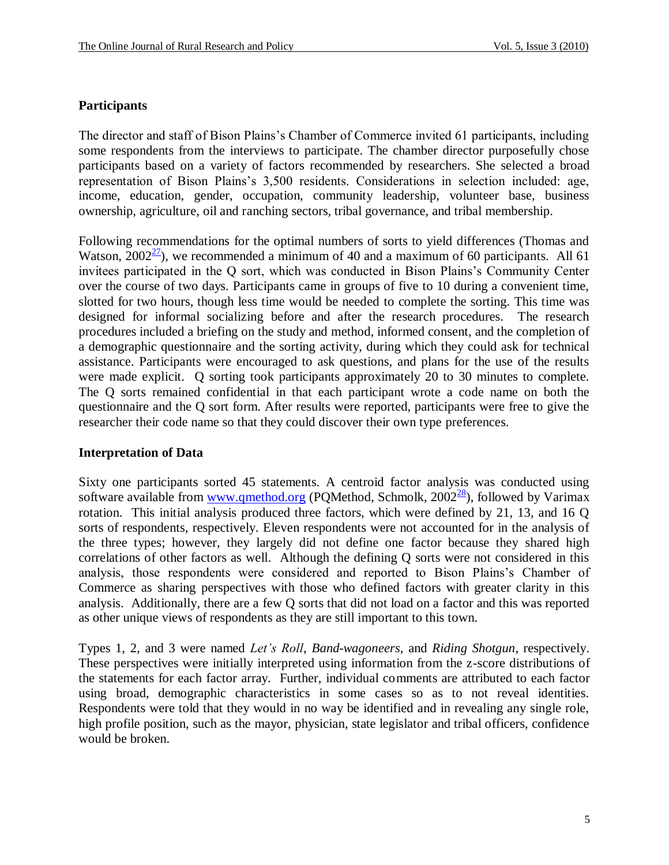## **Participants**

The director and staff of Bison Plains's Chamber of Commerce invited 61 participants, including some respondents from the interviews to participate. The chamber director purposefully chose participants based on a variety of factors recommended by researchers. She selected a broad representation of Bison Plains's 3,500 residents. Considerations in selection included: age, income, education, gender, occupation, community leadership, volunteer base, business ownership, agriculture, oil and ranching sectors, tribal governance, and tribal membership.

<span id="page-5-0"></span>Following recommendations for the optimal numbers of sorts to yield differences (Thomas and Watson,  $2002^{\frac{27}{3}}$  $2002^{\frac{27}{3}}$  $2002^{\frac{27}{3}}$ , we recommended a minimum of 40 and a maximum of 60 participants. All 61 invitees participated in the Q sort, which was conducted in Bison Plains's Community Center over the course of two days. Participants came in groups of five to 10 during a convenient time, slotted for two hours, though less time would be needed to complete the sorting. This time was designed for informal socializing before and after the research procedures. The research procedures included a briefing on the study and method, informed consent, and the completion of a demographic questionnaire and the sorting activity, during which they could ask for technical assistance. Participants were encouraged to ask questions, and plans for the use of the results were made explicit. Q sorting took participants approximately 20 to 30 minutes to complete. The Q sorts remained confidential in that each participant wrote a code name on both the questionnaire and the Q sort form. After results were reported, participants were free to give the researcher their code name so that they could discover their own type preferences.

## **Interpretation of Data**

<span id="page-5-1"></span>Sixty one participants sorted 45 statements. A centroid factor analysis was conducted using software available from [www.qmethod.org](http://www.qmethod.org/) (PQMethod, Schmolk,  $2002^{28}$  $2002^{28}$  $2002^{28}$ ), followed by Varimax rotation. This initial analysis produced three factors, which were defined by 21, 13, and 16 Q sorts of respondents, respectively. Eleven respondents were not accounted for in the analysis of the three types; however, they largely did not define one factor because they shared high correlations of other factors as well. Although the defining Q sorts were not considered in this analysis, those respondents were considered and reported to Bison Plains's Chamber of Commerce as sharing perspectives with those who defined factors with greater clarity in this analysis. Additionally, there are a few Q sorts that did not load on a factor and this was reported as other unique views of respondents as they are still important to this town.

Types 1, 2, and 3 were named *Let's Roll*, *Band-wagoneers*, and *Riding Shotgun*, respectively. These perspectives were initially interpreted using information from the z-score distributions of the statements for each factor array. Further, individual comments are attributed to each factor using broad, demographic characteristics in some cases so as to not reveal identities. Respondents were told that they would in no way be identified and in revealing any single role, high profile position, such as the mayor, physician, state legislator and tribal officers, confidence would be broken.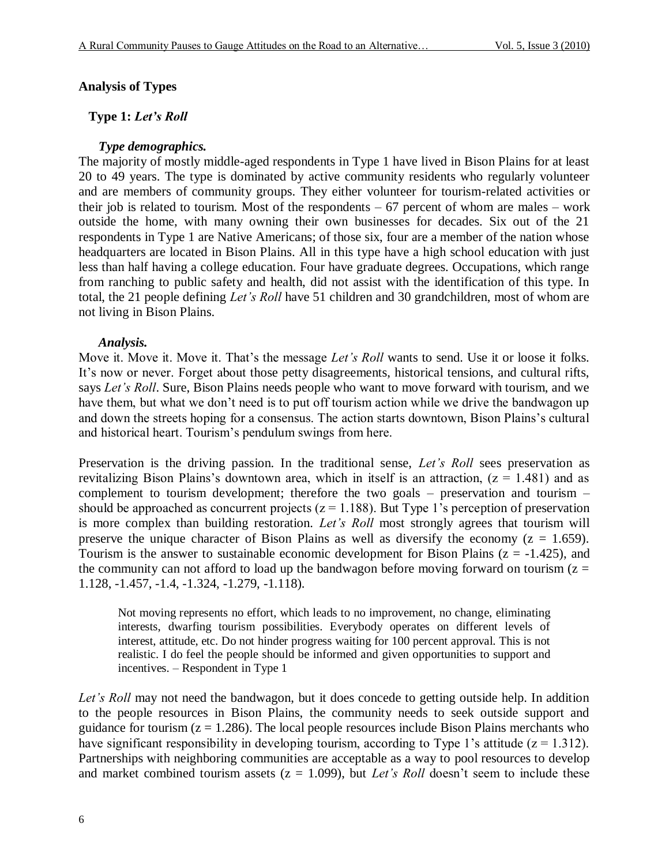#### **Analysis of Types**

#### **Type 1:** *Let's Roll*

#### *Type demographics.*

The majority of mostly middle-aged respondents in Type 1 have lived in Bison Plains for at least 20 to 49 years. The type is dominated by active community residents who regularly volunteer and are members of community groups. They either volunteer for tourism-related activities or their job is related to tourism. Most of the respondents  $-67$  percent of whom are males  $-$  work outside the home, with many owning their own businesses for decades. Six out of the 21 respondents in Type 1 are Native Americans; of those six, four are a member of the nation whose headquarters are located in Bison Plains. All in this type have a high school education with just less than half having a college education. Four have graduate degrees. Occupations, which range from ranching to public safety and health, did not assist with the identification of this type. In total, the 21 people defining *Let's Roll* have 51 children and 30 grandchildren, most of whom are not living in Bison Plains.

#### *Analysis.*

Move it. Move it. Move it. That's the message *Let's Roll* wants to send. Use it or loose it folks. It's now or never. Forget about those petty disagreements, historical tensions, and cultural rifts, says *Let's Roll*. Sure, Bison Plains needs people who want to move forward with tourism, and we have them, but what we don't need is to put off tourism action while we drive the bandwagon up and down the streets hoping for a consensus. The action starts downtown, Bison Plains's cultural and historical heart. Tourism's pendulum swings from here.

Preservation is the driving passion. In the traditional sense, *Let's Roll* sees preservation as revitalizing Bison Plains's downtown area, which in itself is an attraction,  $(z = 1.481)$  and as complement to tourism development; therefore the two goals – preservation and tourism – should be approached as concurrent projects ( $z = 1.188$ ). But Type 1's perception of preservation is more complex than building restoration. *Let's Roll* most strongly agrees that tourism will preserve the unique character of Bison Plains as well as diversify the economy ( $z = 1.659$ ). Tourism is the answer to sustainable economic development for Bison Plains ( $z = -1.425$ ), and the community can not afford to load up the bandwagon before moving forward on tourism ( $z =$ 1.128, -1.457, -1.4, -1.324, -1.279, -1.118).

Not moving represents no effort, which leads to no improvement, no change, eliminating interests, dwarfing tourism possibilities. Everybody operates on different levels of interest, attitude, etc. Do not hinder progress waiting for 100 percent approval. This is not realistic. I do feel the people should be informed and given opportunities to support and incentives. – Respondent in Type 1

Let's Roll may not need the bandwagon, but it does concede to getting outside help. In addition to the people resources in Bison Plains, the community needs to seek outside support and guidance for tourism  $(z = 1.286)$ . The local people resources include Bison Plains merchants who have significant responsibility in developing tourism, according to Type 1's attitude  $(z = 1.312)$ . Partnerships with neighboring communities are acceptable as a way to pool resources to develop and market combined tourism assets  $(z = 1.099)$ , but *Let's Roll* doesn't seem to include these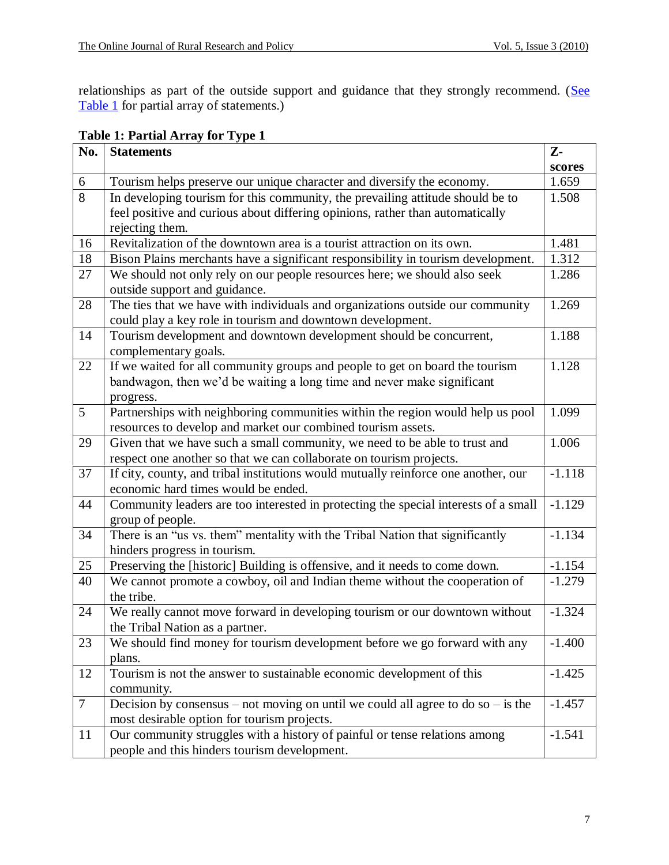relationships as part of the outside support and guidance that they strongly recommend. (See [Table 1](#page-7-0) for partial array of statements.)

|                | rabit 1. I artiar Array for Lypt 1                                                                         |                |
|----------------|------------------------------------------------------------------------------------------------------------|----------------|
| No.            | <b>Statements</b>                                                                                          | $Z -$          |
|                |                                                                                                            | scores         |
| 6<br>8         | Tourism helps preserve our unique character and diversify the economy.                                     | 1.659          |
|                | In developing tourism for this community, the prevailing attitude should be to                             | 1.508          |
|                | feel positive and curious about differing opinions, rather than automatically                              |                |
| 16             | rejecting them.<br>Revitalization of the downtown area is a tourist attraction on its own.                 | 1.481          |
|                |                                                                                                            |                |
| 18<br>27       | Bison Plains merchants have a significant responsibility in tourism development.                           | 1.312<br>1.286 |
|                | We should not only rely on our people resources here; we should also seek<br>outside support and guidance. |                |
| 28             | The ties that we have with individuals and organizations outside our community                             | 1.269          |
|                | could play a key role in tourism and downtown development.                                                 |                |
| 14             | Tourism development and downtown development should be concurrent,                                         | 1.188          |
|                | complementary goals.                                                                                       |                |
| 22             | If we waited for all community groups and people to get on board the tourism                               | 1.128          |
|                | bandwagon, then we'd be waiting a long time and never make significant                                     |                |
|                | progress.                                                                                                  |                |
| 5              | Partnerships with neighboring communities within the region would help us pool                             | 1.099          |
|                | resources to develop and market our combined tourism assets.                                               |                |
| 29             | Given that we have such a small community, we need to be able to trust and                                 | 1.006          |
|                | respect one another so that we can collaborate on tourism projects.                                        |                |
| 37             | If city, county, and tribal institutions would mutually reinforce one another, our                         | $-1.118$       |
|                | economic hard times would be ended.                                                                        |                |
| 44             | Community leaders are too interested in protecting the special interests of a small                        | $-1.129$       |
|                | group of people.                                                                                           |                |
| 34             | There is an "us vs. them" mentality with the Tribal Nation that significantly                              | $-1.134$       |
|                | hinders progress in tourism.                                                                               |                |
| 25             | Preserving the [historic] Building is offensive, and it needs to come down.                                | $-1.154$       |
| 40             | We cannot promote a cowboy, oil and Indian theme without the cooperation of                                | $-1.279$       |
|                | the tribe.                                                                                                 |                |
| 24             | We really cannot move forward in developing tourism or our downtown without                                | $-1.324$       |
|                | the Tribal Nation as a partner.                                                                            |                |
| 23             | We should find money for tourism development before we go forward with any                                 | $-1.400$       |
|                | plans.                                                                                                     |                |
| 12             | Tourism is not the answer to sustainable economic development of this                                      | $-1.425$       |
|                | community.                                                                                                 |                |
| $\overline{7}$ | Decision by consensus – not moving on until we could all agree to do so – is the                           | $-1.457$       |
|                | most desirable option for tourism projects.                                                                |                |
| 11             | Our community struggles with a history of painful or tense relations among                                 | $-1.541$       |
|                | people and this hinders tourism development.                                                               |                |

## <span id="page-7-0"></span>**Table 1: Partial Array for Type 1**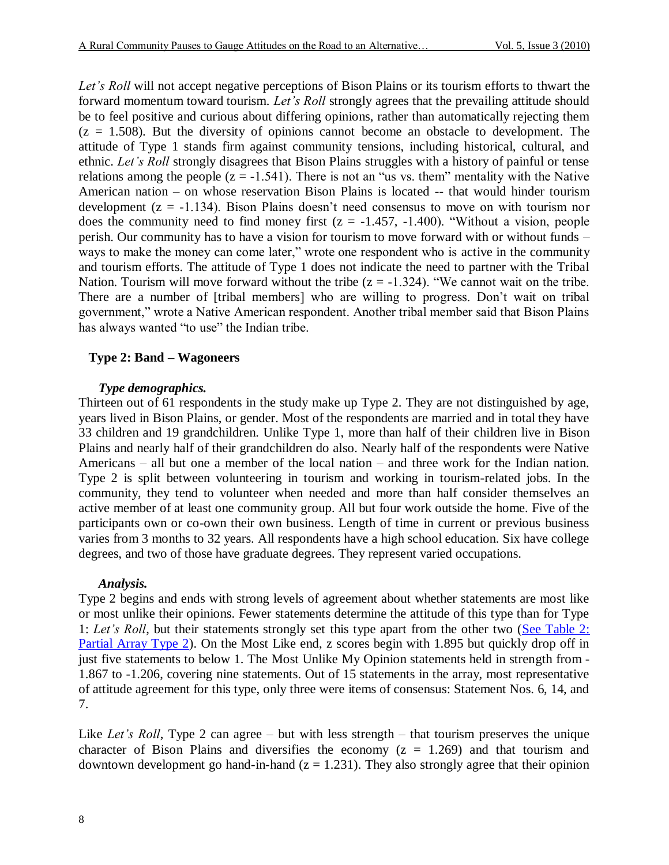*Let's Roll* will not accept negative perceptions of Bison Plains or its tourism efforts to thwart the forward momentum toward tourism. *Let's Roll* strongly agrees that the prevailing attitude should be to feel positive and curious about differing opinions, rather than automatically rejecting them  $(z = 1.508)$ . But the diversity of opinions cannot become an obstacle to development. The attitude of Type 1 stands firm against community tensions, including historical, cultural, and ethnic. *Let's Roll* strongly disagrees that Bison Plains struggles with a history of painful or tense relations among the people  $(z = -1.541)$ . There is not an "us vs. them" mentality with the Native American nation – on whose reservation Bison Plains is located -- that would hinder tourism development  $(z = -1.134)$ . Bison Plains doesn't need consensus to move on with tourism nor does the community need to find money first  $(z = -1.457, -1.400)$ . "Without a vision, people perish. Our community has to have a vision for tourism to move forward with or without funds – ways to make the money can come later," wrote one respondent who is active in the community and tourism efforts. The attitude of Type 1 does not indicate the need to partner with the Tribal Nation. Tourism will move forward without the tribe  $(z = -1.324)$ . "We cannot wait on the tribe. There are a number of [tribal members] who are willing to progress. Don't wait on tribal government," wrote a Native American respondent. Another tribal member said that Bison Plains has always wanted "to use" the Indian tribe.

## **Type 2: Band – Wagoneers**

### *Type demographics.*

Thirteen out of 61 respondents in the study make up Type 2. They are not distinguished by age, years lived in Bison Plains, or gender. Most of the respondents are married and in total they have 33 children and 19 grandchildren. Unlike Type 1, more than half of their children live in Bison Plains and nearly half of their grandchildren do also. Nearly half of the respondents were Native Americans – all but one a member of the local nation – and three work for the Indian nation. Type 2 is split between volunteering in tourism and working in tourism-related jobs. In the community, they tend to volunteer when needed and more than half consider themselves an active member of at least one community group. All but four work outside the home. Five of the participants own or co-own their own business. Length of time in current or previous business varies from 3 months to 32 years. All respondents have a high school education. Six have college degrees, and two of those have graduate degrees. They represent varied occupations.

#### *Analysis.*

Type 2 begins and ends with strong levels of agreement about whether statements are most like or most unlike their opinions. Fewer statements determine the attitude of this type than for Type 1: Let's Roll, but their statements strongly set this type apart from the other two (See Table 2: [Partial Array Type 2\)](#page-9-0). On the Most Like end, z scores begin with 1.895 but quickly drop off in just five statements to below 1. The Most Unlike My Opinion statements held in strength from -1.867 to -1.206, covering nine statements. Out of 15 statements in the array, most representative of attitude agreement for this type, only three were items of consensus: Statement Nos. 6, 14, and 7.

Like *Let's Roll*, Type 2 can agree – but with less strength – that tourism preserves the unique character of Bison Plains and diversifies the economy  $(z = 1.269)$  and that tourism and downtown development go hand-in-hand  $(z = 1.231)$ . They also strongly agree that their opinion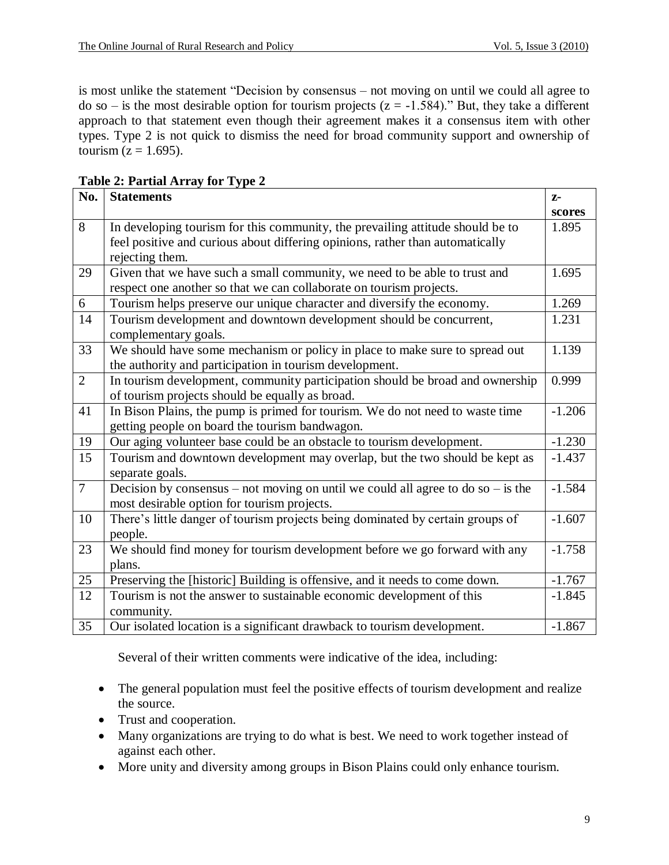is most unlike the statement "Decision by consensus – not moving on until we could all agree to do so – is the most desirable option for tourism projects ( $z = -1.584$ )." But, they take a different approach to that statement even though their agreement makes it a consensus item with other types. Type 2 is not quick to dismiss the need for broad community support and ownership of tourism  $(z = 1.695)$ .

| No.            | $\ldots$ resolution in $\ldots$<br><b>Statements</b>                             | $Z-$     |
|----------------|----------------------------------------------------------------------------------|----------|
|                |                                                                                  | scores   |
| 8              | In developing tourism for this community, the prevailing attitude should be to   | 1.895    |
|                | feel positive and curious about differing opinions, rather than automatically    |          |
|                | rejecting them.                                                                  |          |
| 29             | Given that we have such a small community, we need to be able to trust and       | 1.695    |
|                | respect one another so that we can collaborate on tourism projects.              |          |
| 6              | Tourism helps preserve our unique character and diversify the economy.           | 1.269    |
| 14             | Tourism development and downtown development should be concurrent,               | 1.231    |
|                | complementary goals.                                                             |          |
| 33             | We should have some mechanism or policy in place to make sure to spread out      | 1.139    |
|                | the authority and participation in tourism development.                          |          |
| $\overline{2}$ | In tourism development, community participation should be broad and ownership    | 0.999    |
|                | of tourism projects should be equally as broad.                                  |          |
| 41             | In Bison Plains, the pump is primed for tourism. We do not need to waste time    | $-1.206$ |
|                | getting people on board the tourism bandwagon.                                   |          |
| 19             | Our aging volunteer base could be an obstacle to tourism development.            | $-1.230$ |
| 15             | Tourism and downtown development may overlap, but the two should be kept as      | $-1.437$ |
|                | separate goals.                                                                  |          |
| $\overline{7}$ | Decision by consensus – not moving on until we could all agree to do so – is the | $-1.584$ |
|                | most desirable option for tourism projects.                                      |          |
| 10             | There's little danger of tourism projects being dominated by certain groups of   | $-1.607$ |
|                | people.                                                                          |          |
| 23             | We should find money for tourism development before we go forward with any       | $-1.758$ |
|                | plans.                                                                           |          |
| 25             | Preserving the [historic] Building is offensive, and it needs to come down.      | $-1.767$ |
| 12             | Tourism is not the answer to sustainable economic development of this            | $-1.845$ |
|                | community.                                                                       |          |
| 35             | Our isolated location is a significant drawback to tourism development.          | $-1.867$ |

<span id="page-9-0"></span>

| Table 2: Partial Array for Type 2 |  |  |
|-----------------------------------|--|--|
|                                   |  |  |

Several of their written comments were indicative of the idea, including:

- The general population must feel the positive effects of tourism development and realize the source.
- Trust and cooperation.
- Many organizations are trying to do what is best. We need to work together instead of against each other.
- More unity and diversity among groups in Bison Plains could only enhance tourism.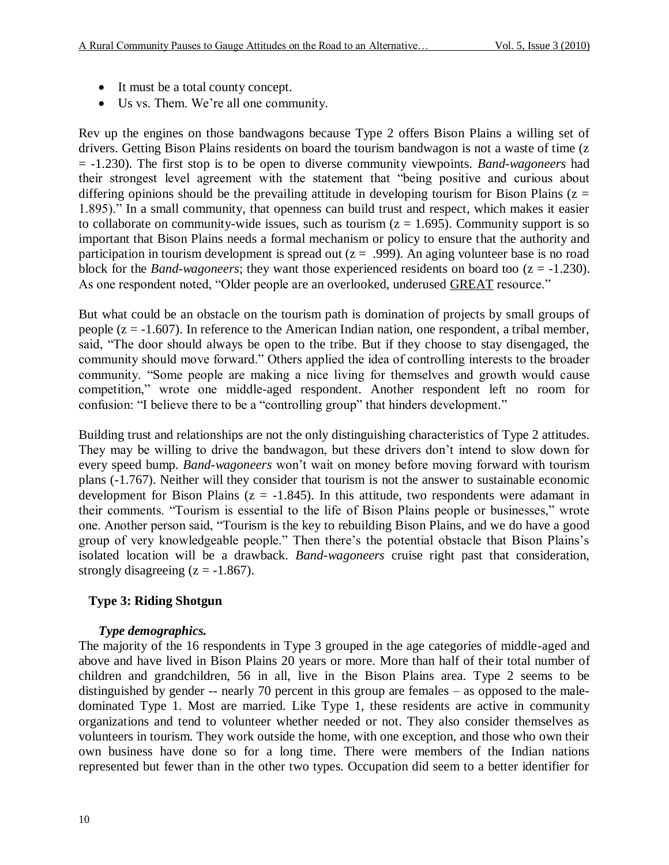- It must be a total county concept.
- Us vs. Them. We're all one community.

Rev up the engines on those bandwagons because Type 2 offers Bison Plains a willing set of drivers. Getting Bison Plains residents on board the tourism bandwagon is not a waste of time (z = -1.230). The first stop is to be open to diverse community viewpoints. *Band-wagoneers* had their strongest level agreement with the statement that "being positive and curious about differing opinions should be the prevailing attitude in developing tourism for Bison Plains ( $z =$ 1.895)." In a small community, that openness can build trust and respect, which makes it easier to collaborate on community-wide issues, such as tourism ( $z = 1.695$ ). Community support is so important that Bison Plains needs a formal mechanism or policy to ensure that the authority and participation in tourism development is spread out ( $z = .999$ ). An aging volunteer base is no road block for the *Band-wagoneers*; they want those experienced residents on board too  $(z = -1.230)$ . As one respondent noted, "Older people are an overlooked, underused GREAT resource."

But what could be an obstacle on the tourism path is domination of projects by small groups of people  $(z = -1.607)$ . In reference to the American Indian nation, one respondent, a tribal member, said, "The door should always be open to the tribe. But if they choose to stay disengaged, the community should move forward." Others applied the idea of controlling interests to the broader community. "Some people are making a nice living for themselves and growth would cause competition," wrote one middle-aged respondent. Another respondent left no room for confusion: "I believe there to be a "controlling group" that hinders development."

Building trust and relationships are not the only distinguishing characteristics of Type 2 attitudes. They may be willing to drive the bandwagon, but these drivers don't intend to slow down for every speed bump. *Band-wagoneers* won't wait on money before moving forward with tourism plans (-1.767). Neither will they consider that tourism is not the answer to sustainable economic development for Bison Plains ( $z = -1.845$ ). In this attitude, two respondents were adamant in their comments. "Tourism is essential to the life of Bison Plains people or businesses," wrote one. Another person said, "Tourism is the key to rebuilding Bison Plains, and we do have a good group of very knowledgeable people." Then there's the potential obstacle that Bison Plains's isolated location will be a drawback. *Band-wagoneers* cruise right past that consideration, strongly disagreeing  $(z = -1.867)$ .

## **Type 3: Riding Shotgun**

## *Type demographics.*

The majority of the 16 respondents in Type 3 grouped in the age categories of middle-aged and above and have lived in Bison Plains 20 years or more. More than half of their total number of children and grandchildren, 56 in all, live in the Bison Plains area. Type 2 seems to be distinguished by gender -- nearly 70 percent in this group are females – as opposed to the maledominated Type 1. Most are married. Like Type 1, these residents are active in community organizations and tend to volunteer whether needed or not. They also consider themselves as volunteers in tourism. They work outside the home, with one exception, and those who own their own business have done so for a long time. There were members of the Indian nations represented but fewer than in the other two types. Occupation did seem to a better identifier for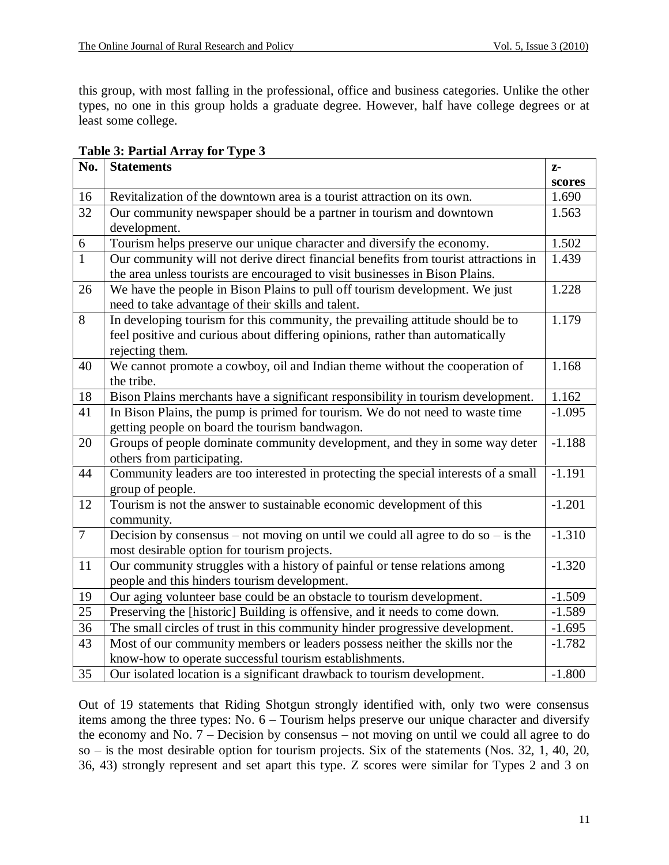this group, with most falling in the professional, office and business categories. Unlike the other types, no one in this group holds a graduate degree. However, half have college degrees or at least some college.

<span id="page-11-0"></span>

| Table 3: Partial Array for Type 3 |  |  |  |  |
|-----------------------------------|--|--|--|--|
|-----------------------------------|--|--|--|--|

| No.             | <b>Statements</b>                                                                                                                                                                  | $Z-$     |
|-----------------|------------------------------------------------------------------------------------------------------------------------------------------------------------------------------------|----------|
|                 |                                                                                                                                                                                    | scores   |
| 16              | Revitalization of the downtown area is a tourist attraction on its own.                                                                                                            | 1.690    |
| 32              | Our community newspaper should be a partner in tourism and downtown                                                                                                                | 1.563    |
|                 | development.                                                                                                                                                                       |          |
| 6               | Tourism helps preserve our unique character and diversify the economy.                                                                                                             | 1.502    |
| $\overline{1}$  | Our community will not derive direct financial benefits from tourist attractions in<br>the area unless tourists are encouraged to visit businesses in Bison Plains.                | 1.439    |
| 26              | We have the people in Bison Plains to pull off tourism development. We just<br>need to take advantage of their skills and talent.                                                  | 1.228    |
| 8               | In developing tourism for this community, the prevailing attitude should be to<br>feel positive and curious about differing opinions, rather than automatically<br>rejecting them. | 1.179    |
| 40              | We cannot promote a cowboy, oil and Indian theme without the cooperation of<br>the tribe.                                                                                          | 1.168    |
| 18              | Bison Plains merchants have a significant responsibility in tourism development.                                                                                                   | 1.162    |
| 41              | In Bison Plains, the pump is primed for tourism. We do not need to waste time<br>getting people on board the tourism bandwagon.                                                    | $-1.095$ |
| 20              | Groups of people dominate community development, and they in some way deter<br>others from participating.                                                                          | $-1.188$ |
| 44              | Community leaders are too interested in protecting the special interests of a small<br>group of people.                                                                            | $-1.191$ |
| 12              | Tourism is not the answer to sustainable economic development of this<br>community.                                                                                                | $-1.201$ |
| $\overline{7}$  | Decision by consensus – not moving on until we could all agree to do so – is the<br>most desirable option for tourism projects.                                                    | $-1.310$ |
| 11              | Our community struggles with a history of painful or tense relations among<br>people and this hinders tourism development.                                                         | $-1.320$ |
| 19              | Our aging volunteer base could be an obstacle to tourism development.                                                                                                              | $-1.509$ |
| $\overline{25}$ | Preserving the [historic] Building is offensive, and it needs to come down.                                                                                                        | $-1.589$ |
| 36              | The small circles of trust in this community hinder progressive development.                                                                                                       | $-1.695$ |
| 43              | Most of our community members or leaders possess neither the skills nor the                                                                                                        | $-1.782$ |
|                 | know-how to operate successful tourism establishments.                                                                                                                             |          |
| 35              | Our isolated location is a significant drawback to tourism development.                                                                                                            | $-1.800$ |

Out of 19 statements that Riding Shotgun strongly identified with, only two were consensus items among the three types: No. 6 – Tourism helps preserve our unique character and diversify the economy and No. 7 – Decision by consensus – not moving on until we could all agree to do so – is the most desirable option for tourism projects. Six of the statements (Nos. 32, 1, 40, 20, 36, 43) strongly represent and set apart this type. Z scores were similar for Types 2 and 3 on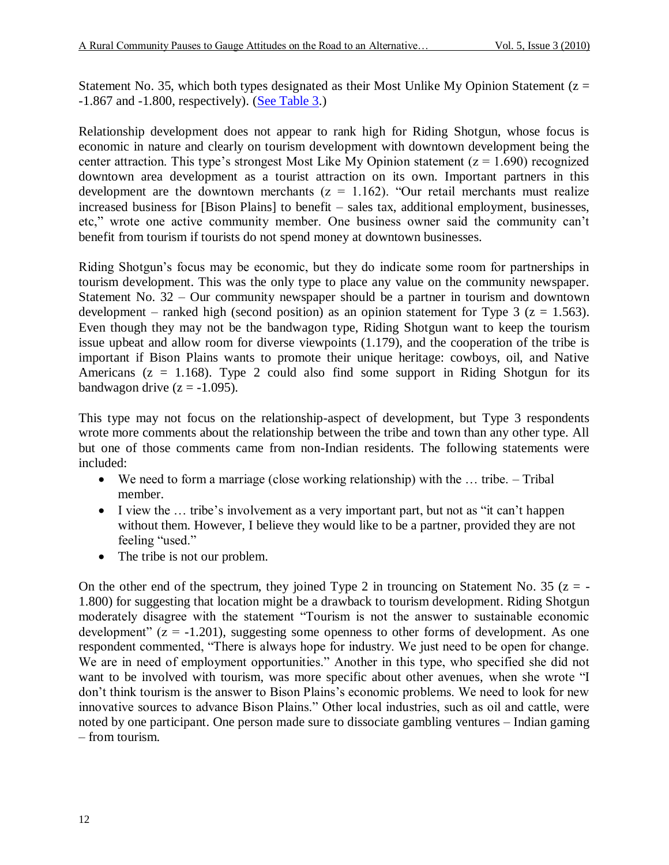Statement No. 35, which both types designated as their Most Unlike My Opinion Statement ( $z =$  $-1.867$  and  $-1.800$ , respectively). [\(See Table 3.](#page-11-0))

Relationship development does not appear to rank high for Riding Shotgun, whose focus is economic in nature and clearly on tourism development with downtown development being the center attraction. This type's strongest Most Like My Opinion statement ( $z = 1.690$ ) recognized downtown area development as a tourist attraction on its own. Important partners in this development are the downtown merchants  $(z = 1.162)$ . "Our retail merchants must realize increased business for [Bison Plains] to benefit – sales tax, additional employment, businesses, etc," wrote one active community member. One business owner said the community can't benefit from tourism if tourists do not spend money at downtown businesses.

Riding Shotgun's focus may be economic, but they do indicate some room for partnerships in tourism development. This was the only type to place any value on the community newspaper. Statement No. 32 – Our community newspaper should be a partner in tourism and downtown development – ranked high (second position) as an opinion statement for Type 3 ( $z = 1.563$ ). Even though they may not be the bandwagon type, Riding Shotgun want to keep the tourism issue upbeat and allow room for diverse viewpoints (1.179), and the cooperation of the tribe is important if Bison Plains wants to promote their unique heritage: cowboys, oil, and Native Americans ( $z = 1.168$ ). Type 2 could also find some support in Riding Shotgun for its bandwagon drive  $(z = -1.095)$ .

This type may not focus on the relationship-aspect of development, but Type 3 respondents wrote more comments about the relationship between the tribe and town than any other type. All but one of those comments came from non-Indian residents. The following statements were included:

- We need to form a marriage (close working relationship) with the … tribe. Tribal member.
- I view the ... tribe's involvement as a very important part, but not as "it can't happen without them. However, I believe they would like to be a partner, provided they are not feeling "used."
- The tribe is not our problem.

On the other end of the spectrum, they joined Type 2 in trouncing on Statement No. 35 ( $z = -$ 1.800) for suggesting that location might be a drawback to tourism development. Riding Shotgun moderately disagree with the statement "Tourism is not the answer to sustainable economic development"  $(z = -1.201)$ , suggesting some openness to other forms of development. As one respondent commented, "There is always hope for industry. We just need to be open for change. We are in need of employment opportunities." Another in this type, who specified she did not want to be involved with tourism, was more specific about other avenues, when she wrote "I don't think tourism is the answer to Bison Plains's economic problems. We need to look for new innovative sources to advance Bison Plains." Other local industries, such as oil and cattle, were noted by one participant. One person made sure to dissociate gambling ventures – Indian gaming – from tourism.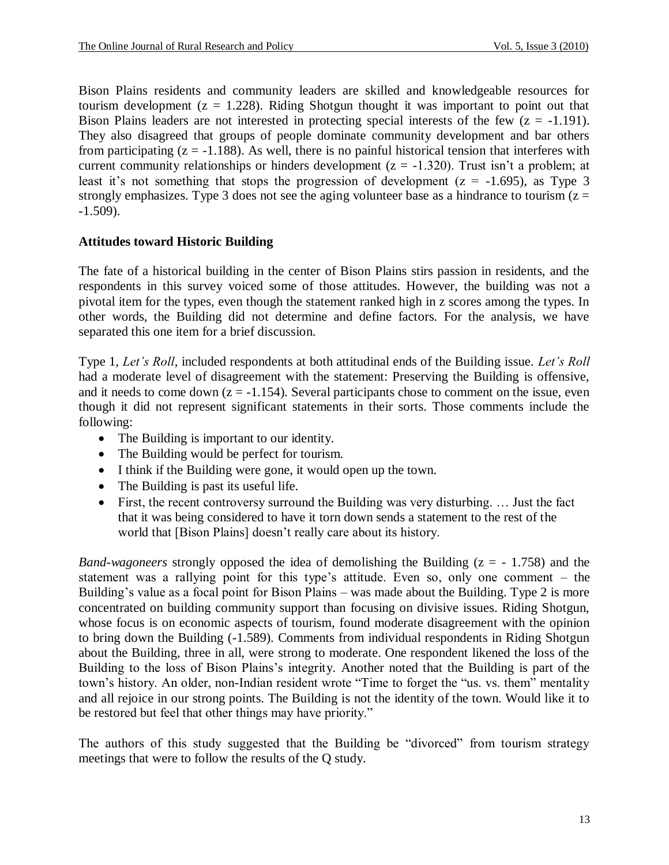Bison Plains residents and community leaders are skilled and knowledgeable resources for tourism development  $(z = 1.228)$ . Riding Shotgun thought it was important to point out that Bison Plains leaders are not interested in protecting special interests of the few  $(z = -1.191)$ . They also disagreed that groups of people dominate community development and bar others from participating  $(z = -1.188)$ . As well, there is no painful historical tension that interferes with current community relationships or hinders development ( $z = -1.320$ ). Trust isn't a problem; at least it's not something that stops the progression of development ( $z = -1.695$ ), as Type 3 strongly emphasizes. Type 3 does not see the aging volunteer base as a hindrance to tourism  $(z =$ -1.509).

### **Attitudes toward Historic Building**

The fate of a historical building in the center of Bison Plains stirs passion in residents, and the respondents in this survey voiced some of those attitudes. However, the building was not a pivotal item for the types, even though the statement ranked high in z scores among the types. In other words, the Building did not determine and define factors. For the analysis, we have separated this one item for a brief discussion.

Type 1, *Let's Roll*, included respondents at both attitudinal ends of the Building issue. *Let's Roll* had a moderate level of disagreement with the statement: Preserving the Building is offensive, and it needs to come down  $(z = -1.154)$ . Several participants chose to comment on the issue, even though it did not represent significant statements in their sorts. Those comments include the following:

- The Building is important to our identity.
- The Building would be perfect for tourism.
- I think if the Building were gone, it would open up the town.
- The Building is past its useful life.
- First, the recent controversy surround the Building was very disturbing. … Just the fact that it was being considered to have it torn down sends a statement to the rest of the world that [Bison Plains] doesn't really care about its history.

*Band-wagoneers* strongly opposed the idea of demolishing the Building  $(z = -1.758)$  and the statement was a rallying point for this type's attitude. Even so, only one comment – the Building's value as a focal point for Bison Plains – was made about the Building. Type 2 is more concentrated on building community support than focusing on divisive issues. Riding Shotgun, whose focus is on economic aspects of tourism, found moderate disagreement with the opinion to bring down the Building (-1.589). Comments from individual respondents in Riding Shotgun about the Building, three in all, were strong to moderate. One respondent likened the loss of the Building to the loss of Bison Plains's integrity. Another noted that the Building is part of the town's history. An older, non-Indian resident wrote "Time to forget the "us. vs. them" mentality and all rejoice in our strong points. The Building is not the identity of the town. Would like it to be restored but feel that other things may have priority."

The authors of this study suggested that the Building be "divorced" from tourism strategy meetings that were to follow the results of the Q study.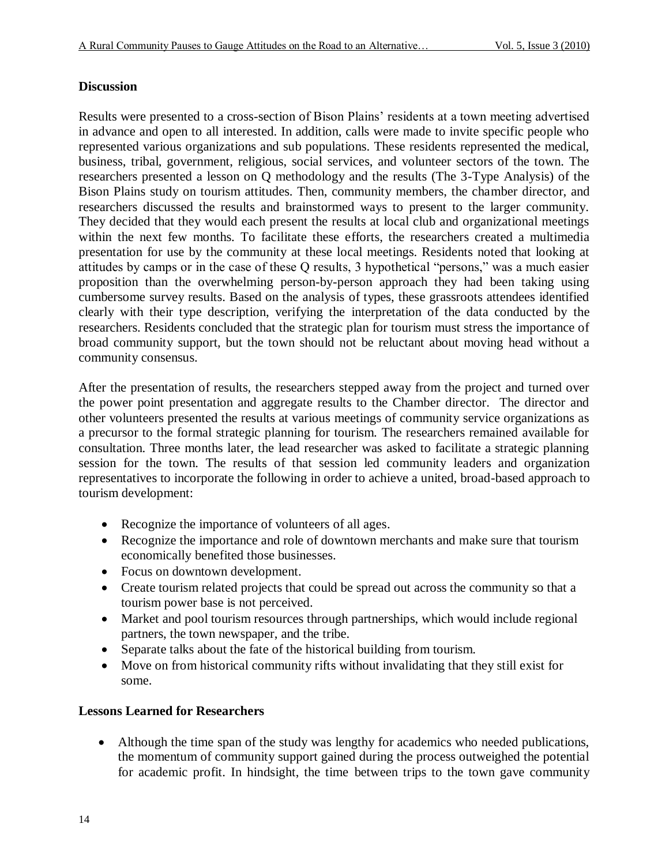## **Discussion**

Results were presented to a cross-section of Bison Plains' residents at a town meeting advertised in advance and open to all interested. In addition, calls were made to invite specific people who represented various organizations and sub populations. These residents represented the medical, business, tribal, government, religious, social services, and volunteer sectors of the town. The researchers presented a lesson on Q methodology and the results (The 3-Type Analysis) of the Bison Plains study on tourism attitudes. Then, community members, the chamber director, and researchers discussed the results and brainstormed ways to present to the larger community. They decided that they would each present the results at local club and organizational meetings within the next few months. To facilitate these efforts, the researchers created a multimedia presentation for use by the community at these local meetings. Residents noted that looking at attitudes by camps or in the case of these Q results, 3 hypothetical "persons," was a much easier proposition than the overwhelming person-by-person approach they had been taking using cumbersome survey results. Based on the analysis of types, these grassroots attendees identified clearly with their type description, verifying the interpretation of the data conducted by the researchers. Residents concluded that the strategic plan for tourism must stress the importance of broad community support, but the town should not be reluctant about moving head without a community consensus.

After the presentation of results, the researchers stepped away from the project and turned over the power point presentation and aggregate results to the Chamber director. The director and other volunteers presented the results at various meetings of community service organizations as a precursor to the formal strategic planning for tourism. The researchers remained available for consultation. Three months later, the lead researcher was asked to facilitate a strategic planning session for the town. The results of that session led community leaders and organization representatives to incorporate the following in order to achieve a united, broad-based approach to tourism development:

- Recognize the importance of volunteers of all ages.
- Recognize the importance and role of downtown merchants and make sure that tourism economically benefited those businesses.
- Focus on downtown development.
- Create tourism related projects that could be spread out across the community so that a tourism power base is not perceived.
- Market and pool tourism resources through partnerships, which would include regional partners, the town newspaper, and the tribe.
- Separate talks about the fate of the historical building from tourism.
- Move on from historical community rifts without invalidating that they still exist for some.

## **Lessons Learned for Researchers**

 Although the time span of the study was lengthy for academics who needed publications, the momentum of community support gained during the process outweighed the potential for academic profit. In hindsight, the time between trips to the town gave community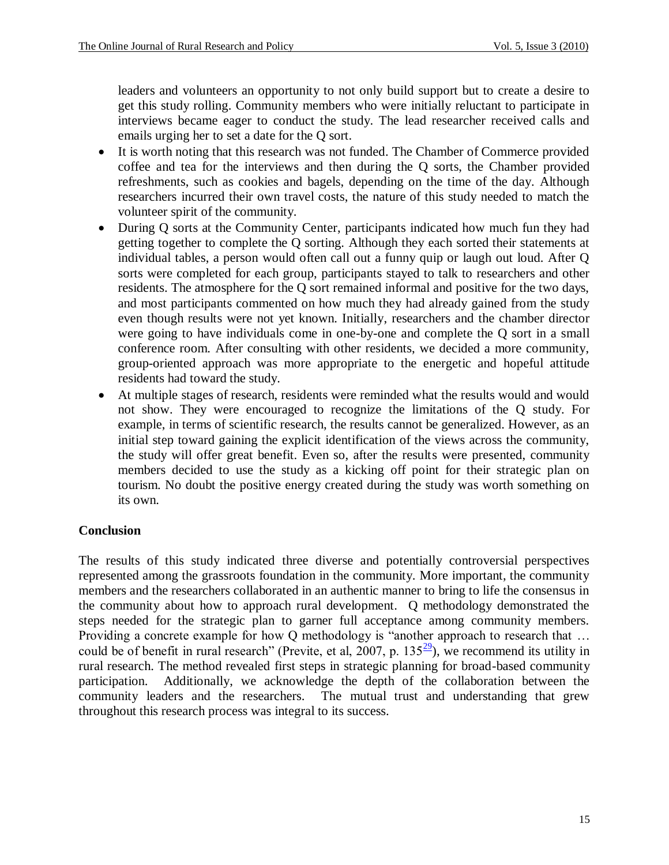leaders and volunteers an opportunity to not only build support but to create a desire to get this study rolling. Community members who were initially reluctant to participate in interviews became eager to conduct the study. The lead researcher received calls and emails urging her to set a date for the Q sort.

- It is worth noting that this research was not funded. The Chamber of Commerce provided coffee and tea for the interviews and then during the Q sorts, the Chamber provided refreshments, such as cookies and bagels, depending on the time of the day. Although researchers incurred their own travel costs, the nature of this study needed to match the volunteer spirit of the community.
- During Q sorts at the Community Center, participants indicated how much fun they had getting together to complete the Q sorting. Although they each sorted their statements at individual tables, a person would often call out a funny quip or laugh out loud. After Q sorts were completed for each group, participants stayed to talk to researchers and other residents. The atmosphere for the Q sort remained informal and positive for the two days, and most participants commented on how much they had already gained from the study even though results were not yet known. Initially, researchers and the chamber director were going to have individuals come in one-by-one and complete the Q sort in a small conference room. After consulting with other residents, we decided a more community, group-oriented approach was more appropriate to the energetic and hopeful attitude residents had toward the study.
- At multiple stages of research, residents were reminded what the results would and would not show. They were encouraged to recognize the limitations of the Q study. For example, in terms of scientific research, the results cannot be generalized. However, as an initial step toward gaining the explicit identification of the views across the community, the study will offer great benefit. Even so, after the results were presented, community members decided to use the study as a kicking off point for their strategic plan on tourism. No doubt the positive energy created during the study was worth something on its own.

## **Conclusion**

<span id="page-15-0"></span>The results of this study indicated three diverse and potentially controversial perspectives represented among the grassroots foundation in the community. More important, the community members and the researchers collaborated in an authentic manner to bring to life the consensus in the community about how to approach rural development. Q methodology demonstrated the steps needed for the strategic plan to garner full acceptance among community members. Providing a concrete example for how Q methodology is "another approach to research that ... could be of benefit in rural research" (Previte, et al, 2007, p. 135 $\frac{29}{2}$  $\frac{29}{2}$  $\frac{29}{2}$ ), we recommend its utility in rural research. The method revealed first steps in strategic planning for broad-based community participation. Additionally, we acknowledge the depth of the collaboration between the community leaders and the researchers. The mutual trust and understanding that grew throughout this research process was integral to its success.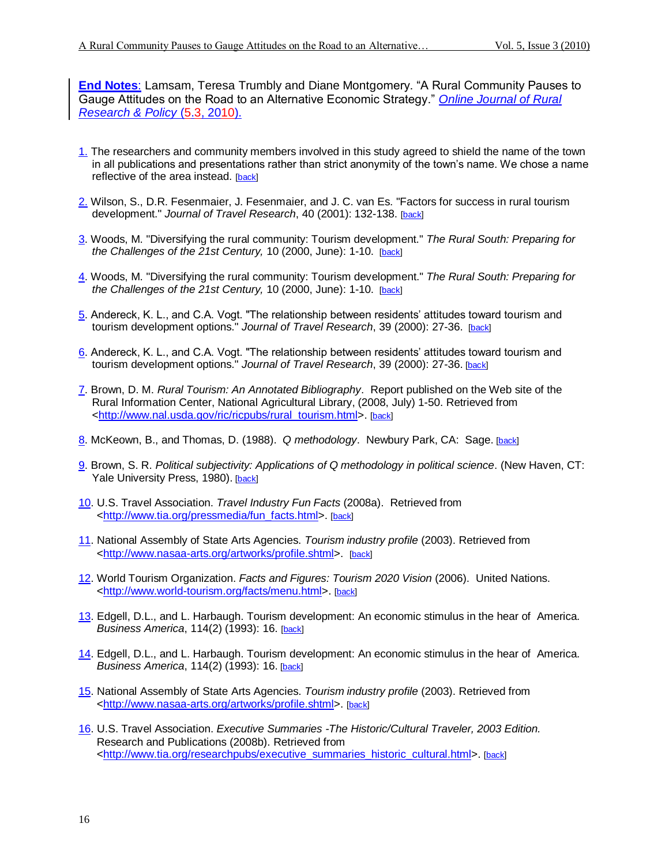**End Notes**: Lamsam, Teresa Trumbly and Diane Montgomery. "A Rural Community Pauses to Gauge Attitudes on the Road to an Alternative Economic Strategy." *[Online Journal of Rural](http://www.ojrrp.org/)  [Research & Policy](http://www.ojrrp.org/)* (5.3, 2010).

- <span id="page-16-0"></span>[1.](#page-1-0) The researchers and community members involved in this study agreed to shield the name of the town in all publications and presentations rather than strict anonymity of the town's name. We chose a name reflective of the area instead. [\[back\]](#page-1-0)
- <span id="page-16-1"></span>[2.](#page-2-0) Wilson, S., D.R. Fesenmaier, J. Fesenmaier, and J. C. van Es. "Factors for success in rural tourism development." *Journal of Travel Research*, 40 (2001): 132-138. [\[back\]](#page-2-0)
- <span id="page-16-2"></span>[3.](#page-2-1) Woods, M. "Diversifying the rural community: Tourism development." *The Rural South: Preparing for the Challenges of the 21st Century,* 10 (2000, June): 1-10. [\[back\]](#page-16-2)
- <span id="page-16-3"></span>[4.](#page-2-2) Woods, M. "Diversifying the rural community: Tourism development." *The Rural South: Preparing for the Challenges of the 21st Century, 10 (2000, June): 1-10.* [\[back\]](#page-2-2)
- <span id="page-16-4"></span>[5.](#page-2-3) Andereck, K. L., and C.A. Vogt. "The relationship between residents' attitudes toward tourism and tourism development options." *Journal of Travel Research*, 39 (2000): 27-36. [\[back\]](#page-2-3)
- <span id="page-16-5"></span>[6.](#page-2-4) Andereck, K. L., and C.A. Vogt. "The relationship between residents' attitudes toward tourism and tourism development options." Journal of Travel Research, 39 (2000): 27-36. [\[back\]](#page-2-4)
- <span id="page-16-6"></span>[7.](#page-2-5) Brown, D. M. *Rural Tourism: An Annotated Bibliography*. Report published on the Web site of the Rural Information Center, National Agricultural Library, (2008, July) 1-50. Retrieved from [<http://www.nal.usda.gov/ric/ricpubs/rural\\_tourism.html>](http://www.nal.usda.gov/ric/ricpubs/rural_tourism.html). [\[back\]](#page-2-5)
- <span id="page-16-7"></span>[8.](#page-2-6) McKeown, B., and Thomas, D. (1988). *Q methodology*. Newbury Park, CA: Sage. [\[back\]](#page-2-6)
- <span id="page-16-8"></span>[9.](#page-2-7) Brown, S. R. *Political subjectivity: Applications of Q methodology in political science*. (New Haven, CT: Yale University Press, 1980). [\[back\]](#page-2-7)
- <span id="page-16-9"></span>[10.](#page-2-8) U.S. Travel Association. *Travel Industry Fun Facts* (2008a). Retrieved from [<http://www.tia.org/pressmedia/fun\\_facts.html>](http://www.tia.org/pressmedia/fun_facts.html). [\[back\]](#page-2-8)
- <span id="page-16-10"></span>[11.](#page-2-9) National Assembly of State Arts Agencies. *Tourism industry profile* (2003). Retrieved from [<http://www.nasaa-arts.org/artworks/profile.shtml>](http://www.nasaa-arts.org/artworks/profile.shtml). [\[back\]](#page-2-9)
- <span id="page-16-11"></span>[12.](#page-3-0) World Tourism Organization. *Facts and Figures: Tourism 2020 Vision* (2006). United Nations. [<http://www.world-tourism.org/facts/menu.html>](http://www.world-tourism.org/facts/menu.html). [\[back\]](#page-3-0)
- <span id="page-16-12"></span>[13.](#page-3-1) Edgell, D.L., and L. Harbaugh. Tourism development: An economic stimulus in the hear of America. *Business America*, 114(2) (1993): 16. [\[back\]](#page-3-1)
- <span id="page-16-13"></span>[14.](#page-3-2) Edgell, D.L., and L. Harbaugh. Tourism development: An economic stimulus in the hear of America. *Business America*, 114(2) (1993): 16. [\[back\]](#page-3-2)
- <span id="page-16-14"></span>[15.](#page-3-3) National Assembly of State Arts Agencies. *Tourism industry profile* (2003). Retrieved from [<http://www.nasaa-arts.org/artworks/profile.shtml>](http://www.nasaa-arts.org/artworks/profile.shtml). [\[back\]](#page-3-3)
- <span id="page-16-15"></span>[16.](#page-3-4) U.S. Travel Association. *Executive Summaries -The Historic/Cultural Traveler, 2003 Edition.*  Research and Publications (2008b). Retrieved from [<http://www.tia.org/researchpubs/executive\\_summaries\\_historic\\_cultural.html>](http://www.tia.org/researchpubs/executive_summaries_historic_cultural.html). [\[back\]](#page-3-4)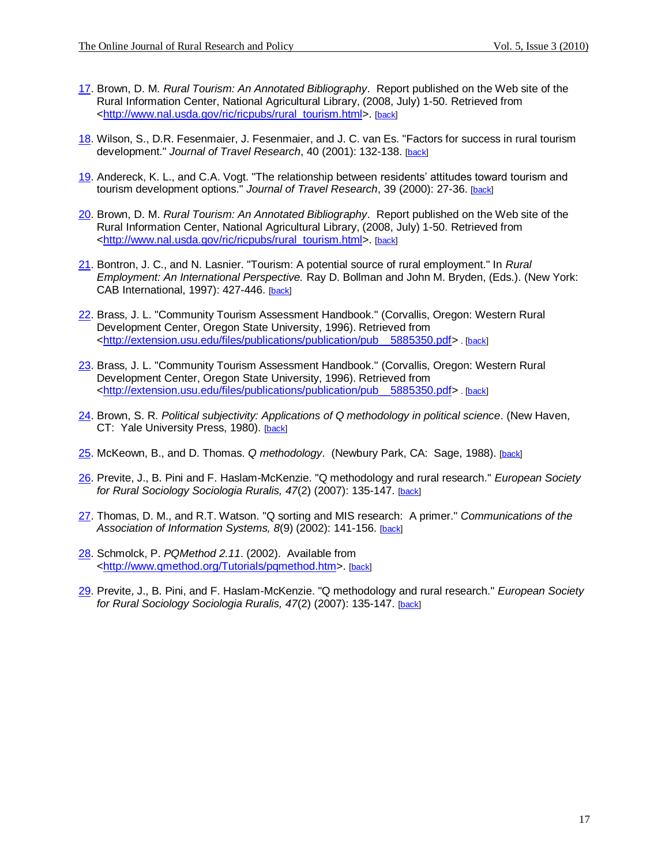- <span id="page-17-0"></span>[17.](#page-3-5) Brown, D. M. *Rural Tourism: An Annotated Bibliography*. Report published on the Web site of the Rural Information Center, National Agricultural Library, (2008, July) 1-50. Retrieved from [<http://www.nal.usda.gov/ric/ricpubs/rural\\_tourism.html>](http://www.nal.usda.gov/ric/ricpubs/rural_tourism.html). [\[back\]](#page-3-5)
- <span id="page-17-1"></span>[18.](#page-3-6) Wilson, S., D.R. Fesenmaier, J. Fesenmaier, and J. C. van Es. "Factors for success in rural tourism development." *Journal of Travel Research*, 40 (2001): 132-138. [\[back\]](#page-3-6)
- <span id="page-17-2"></span>[19.](#page-3-7) Andereck, K. L., and C.A. Vogt. "The relationship between residents' attitudes toward tourism and tourism development options." *Journal of Travel Research*, 39 (2000): 27-36. [\[back\]](#page-3-7)
- <span id="page-17-3"></span>[20.](#page-3-8) Brown, D. M. *Rural Tourism: An Annotated Bibliography*. Report published on the Web site of the Rural Information Center, National Agricultural Library, (2008, July) 1-50. Retrieved from [<http://www.nal.usda.gov/ric/ricpubs/rural\\_tourism.html>](http://www.nal.usda.gov/ric/ricpubs/rural_tourism.html). [\[back\]](#page-3-8)
- <span id="page-17-4"></span>[21.](#page-3-9) Bontron, J. C., and N. Lasnier. "Tourism: A potential source of rural employment." In *Rural Employment: An International Perspective.* Ray D. Bollman and John M. Bryden, (Eds.). (New York: CAB International, 1997): 427-446. [\[back\]](#page-3-9)
- <span id="page-17-5"></span>[22.](#page-3-10) Brass, J. L. "Community Tourism Assessment Handbook." (Corvallis, Oregon: Western Rural Development Center, Oregon State University, 1996). Retrieved from [<http://extension.usu.edu/files/publications/publication/pub\\_\\_5885350.pdf>](http://extension.usu.edu/files/publications/publication/pub__5885350.pdf) . [\[back\]](#page-3-10)
- <span id="page-17-6"></span>[23.](#page-3-11) Brass, J. L. "Community Tourism Assessment Handbook." (Corvallis, Oregon: Western Rural Development Center, Oregon State University, 1996). Retrieved from <http://extension.usu.edu/files/publications/publication/pub 5885350.pdf> . [\[back\]](#page-3-10)
- <span id="page-17-7"></span>24. Brown, S. R. *Political subjectivity: Applications of Q methodology in political science*. (New Haven, CT: Yale University Press, 1980). [back]
- <span id="page-17-8"></span>25. McKeown, B., and D. Thomas. *Q methodology*. (Newbury Park, CA: Sage, 1988). [back]
- <span id="page-17-9"></span>26. Previte, J., B. Pini and F. Haslam-McKenzie. "Q methodology and rural research." *European Society for Rural Sociology Sociologia Ruralis, 47*(2) (2007): 135-147. [back]
- <span id="page-17-10"></span>[27.](#page-5-0) Thomas, D. M., and R.T. Watson. "Q sorting and MIS research: A primer." *Communications of the Association of Information Systems, 8*(9) (2002): 141-156. [\[back\]](#page-5-0)
- <span id="page-17-11"></span>[28.](#page-5-1) Schmolck, P. *PQMethod 2.11*. (2002). Available from [<http://www.qmethod.org/Tutorials/pqmethod.htm>](http://www.qmethod.org/Tutorials/pqmethod.htm). [\[back\]](#page-5-1)
- <span id="page-17-12"></span>[29.](#page-15-0) Previte, J., B. Pini, and F. Haslam-McKenzie. "Q methodology and rural research." *European Society for Rural Sociology Sociologia Ruralis, 47*(2) (2007): 135-147. [\[back\]](#page-15-0)